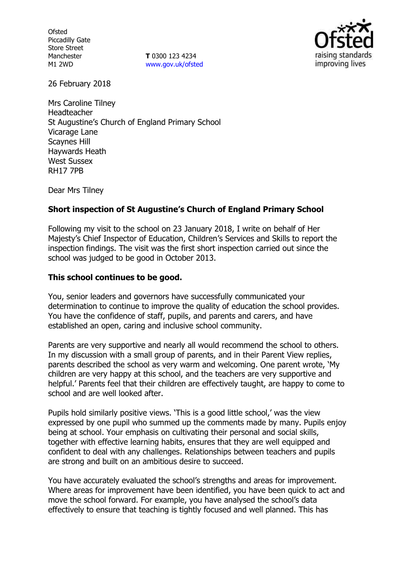**Ofsted** Piccadilly Gate Store Street Manchester M1 2WD

**T** 0300 123 4234 www.gov.uk/ofsted



26 February 2018

Mrs Caroline Tilney Headteacher St Augustine's Church of England Primary School Vicarage Lane Scaynes Hill Haywards Heath West Sussex RH17 7PB

Dear Mrs Tilney

# **Short inspection of St Augustine's Church of England Primary School**

Following my visit to the school on 23 January 2018, I write on behalf of Her Majesty's Chief Inspector of Education, Children's Services and Skills to report the inspection findings. The visit was the first short inspection carried out since the school was judged to be good in October 2013.

## **This school continues to be good.**

You, senior leaders and governors have successfully communicated your determination to continue to improve the quality of education the school provides. You have the confidence of staff, pupils, and parents and carers, and have established an open, caring and inclusive school community.

Parents are very supportive and nearly all would recommend the school to others. In my discussion with a small group of parents, and in their Parent View replies, parents described the school as very warm and welcoming. One parent wrote, 'My children are very happy at this school, and the teachers are very supportive and helpful.' Parents feel that their children are effectively taught, are happy to come to school and are well looked after.

Pupils hold similarly positive views. 'This is a good little school,' was the view expressed by one pupil who summed up the comments made by many. Pupils enjoy being at school. Your emphasis on cultivating their personal and social skills, together with effective learning habits, ensures that they are well equipped and confident to deal with any challenges. Relationships between teachers and pupils are strong and built on an ambitious desire to succeed.

You have accurately evaluated the school's strengths and areas for improvement. Where areas for improvement have been identified, you have been quick to act and move the school forward. For example, you have analysed the school's data effectively to ensure that teaching is tightly focused and well planned. This has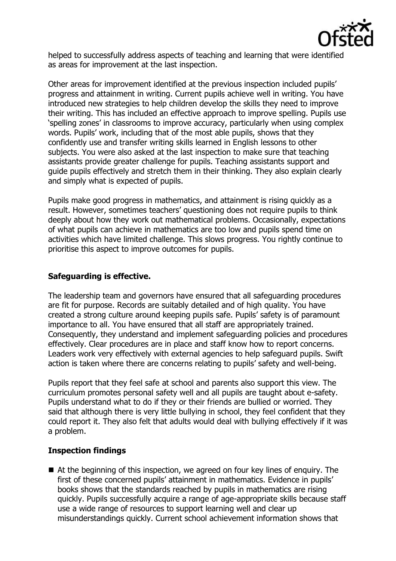

helped to successfully address aspects of teaching and learning that were identified as areas for improvement at the last inspection.

Other areas for improvement identified at the previous inspection included pupils' progress and attainment in writing. Current pupils achieve well in writing. You have introduced new strategies to help children develop the skills they need to improve their writing. This has included an effective approach to improve spelling. Pupils use 'spelling zones' in classrooms to improve accuracy, particularly when using complex words. Pupils' work, including that of the most able pupils, shows that they confidently use and transfer writing skills learned in English lessons to other subjects. You were also asked at the last inspection to make sure that teaching assistants provide greater challenge for pupils. Teaching assistants support and guide pupils effectively and stretch them in their thinking. They also explain clearly and simply what is expected of pupils.

Pupils make good progress in mathematics, and attainment is rising quickly as a result. However, sometimes teachers' questioning does not require pupils to think deeply about how they work out mathematical problems. Occasionally, expectations of what pupils can achieve in mathematics are too low and pupils spend time on activities which have limited challenge. This slows progress. You rightly continue to prioritise this aspect to improve outcomes for pupils.

### **Safeguarding is effective.**

The leadership team and governors have ensured that all safeguarding procedures are fit for purpose. Records are suitably detailed and of high quality. You have created a strong culture around keeping pupils safe. Pupils' safety is of paramount importance to all. You have ensured that all staff are appropriately trained. Consequently, they understand and implement safeguarding policies and procedures effectively. Clear procedures are in place and staff know how to report concerns. Leaders work very effectively with external agencies to help safeguard pupils. Swift action is taken where there are concerns relating to pupils' safety and well-being.

Pupils report that they feel safe at school and parents also support this view. The curriculum promotes personal safety well and all pupils are taught about e-safety. Pupils understand what to do if they or their friends are bullied or worried. They said that although there is very little bullying in school, they feel confident that they could report it. They also felt that adults would deal with bullying effectively if it was a problem.

### **Inspection findings**

 At the beginning of this inspection, we agreed on four key lines of enquiry. The first of these concerned pupils' attainment in mathematics. Evidence in pupils' books shows that the standards reached by pupils in mathematics are rising quickly. Pupils successfully acquire a range of age-appropriate skills because staff use a wide range of resources to support learning well and clear up misunderstandings quickly. Current school achievement information shows that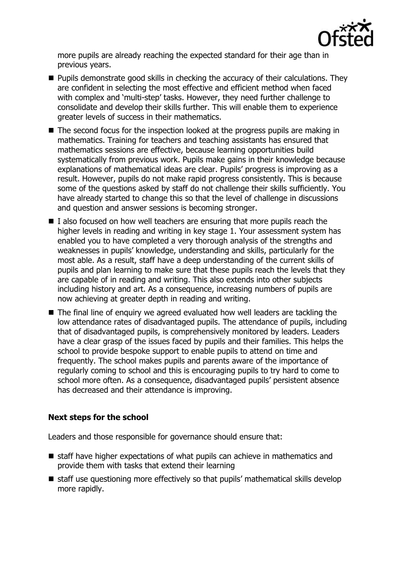

more pupils are already reaching the expected standard for their age than in previous years.

- **Pupils demonstrate good skills in checking the accuracy of their calculations. They** are confident in selecting the most effective and efficient method when faced with complex and 'multi-step' tasks. However, they need further challenge to consolidate and develop their skills further. This will enable them to experience greater levels of success in their mathematics.
- The second focus for the inspection looked at the progress pupils are making in mathematics. Training for teachers and teaching assistants has ensured that mathematics sessions are effective, because learning opportunities build systematically from previous work. Pupils make gains in their knowledge because explanations of mathematical ideas are clear. Pupils' progress is improving as a result. However, pupils do not make rapid progress consistently. This is because some of the questions asked by staff do not challenge their skills sufficiently. You have already started to change this so that the level of challenge in discussions and question and answer sessions is becoming stronger.
- $\blacksquare$  I also focused on how well teachers are ensuring that more pupils reach the higher levels in reading and writing in key stage 1. Your assessment system has enabled you to have completed a very thorough analysis of the strengths and weaknesses in pupils' knowledge, understanding and skills, particularly for the most able. As a result, staff have a deep understanding of the current skills of pupils and plan learning to make sure that these pupils reach the levels that they are capable of in reading and writing. This also extends into other subjects including history and art. As a consequence, increasing numbers of pupils are now achieving at greater depth in reading and writing.
- The final line of enquiry we agreed evaluated how well leaders are tackling the low attendance rates of disadvantaged pupils. The attendance of pupils, including that of disadvantaged pupils, is comprehensively monitored by leaders. Leaders have a clear grasp of the issues faced by pupils and their families. This helps the school to provide bespoke support to enable pupils to attend on time and frequently. The school makes pupils and parents aware of the importance of regularly coming to school and this is encouraging pupils to try hard to come to school more often. As a consequence, disadvantaged pupils' persistent absence has decreased and their attendance is improving.

### **Next steps for the school**

Leaders and those responsible for governance should ensure that:

- staff have higher expectations of what pupils can achieve in mathematics and provide them with tasks that extend their learning
- staff use questioning more effectively so that pupils' mathematical skills develop more rapidly.